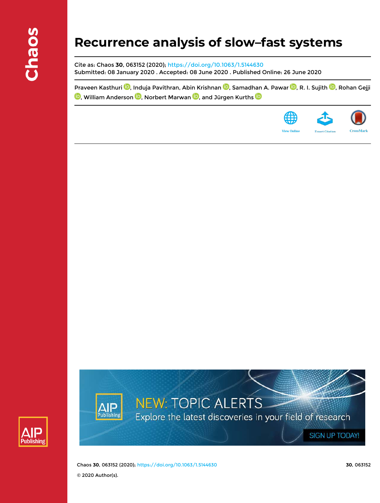# **Recurrence analysis of slow–fast systems**

Cite as: Chaos **30**, 063152 (2020); https://doi.org/10.1063/1.5144630 Submitted: 08 January 2020 . Accepted: 08 June 2020 . Published Online: 26 June 2020

Praveen Kasthuri **D**, Induja Pavithran, Abin Krishnan **D**, Samadhan A. Pawar D, R. I. Sujith D, Rohan Gejji **D**, William Anderson **D**, Norbert Marwan **D**, and Jürgen Kurths **D** 







Chaos **30**, 063152 (2020); https://doi.org/10.1063/1.5144630 **30**, 063152 © 2020 Author(s).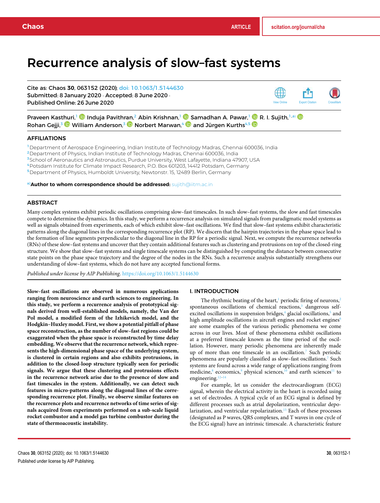# Recurrence analysis of slow–fast systems

Cite as: Chaos **30**, 063152 (2020); doi: 10.1063/1.5144630 Submitted: 8 January 2020 · Accepted: 8 June 2020 · Published Online: 26 June 2020



Praveen Kasthuri,<sup>1</sup> ® Induja Pavithran,<sup>2</sup> Abin Krishnan,<sup>1</sup> ® Samadhan A. Pawar,<sup>1</sup> ® R. I. Sujith,<sup>1,a)</sup> Rohan Gejji,<sup>3</sup> William Anderson,<sup>3</sup> Norbert Marwan,<sup>4</sup> and Jürgen Kurths<sup>4,5</sup> D

# AFFILIATIONS

Department of Aerospace Engineering, Indian Institute of Technology Madras, Chennai 600036, India Department of Physics, Indian Institute of Technology Madras, Chennai 600036, India <sup>3</sup>School of Aeronautics and Astronautics, Purdue University, West Lafayette, Indiana 47907, USA Potsdam Institute for Climate Impact Research, P.O. Box 601203, 14412 Potsdam, Germany Department of Physics, Humboldt University, Newtonstr. 15, 12489 Berlin, Germany

a)**Author to whom correspondence should be addressed:** sujith@iitm.ac.in

#### ABSTRACT

Many complex systems exhibit periodic oscillations comprising slow–fast timescales. In such slow–fast systems, the slow and fast timescales compete to determine the dynamics. In this study, we perform a recurrence analysis on simulated signals from paradigmatic model systems as well as signals obtained from experiments, each of which exhibit slow–fast oscillations. We find that slow–fast systems exhibit characteristic patterns along the diagonal lines in the corresponding recurrence plot (RP). We discern that the hairpin trajectories in the phase space lead to the formation of line segments perpendicular to the diagonal line in the RP for a periodic signal. Next, we compute the recurrence networks (RNs) of these slow–fast systems and uncover that they contain additional features such as clustering and protrusions on top of the closed-ring structure. We show that slow–fast systems and single timescale systems can be distinguished by computing the distance between consecutive state points on the phase space trajectory and the degree of the nodes in the RNs. Such a recurrence analysis substantially strengthens our understanding of slow–fast systems, which do not have any accepted functional forms.

*Published under license by AIP Publishing.* https://doi.org/10.1063/1.5144630

#### I. INTRODUCTION

The rhythmic beating of the heart, $1$  periodic firing of neurons, $2$ spontaneous oscillations of chemical reactions,<sup>3</sup> dangerous selfexcited oscillations in suspension bridges,<sup>4</sup> glacial oscillations,<sup>5</sup> and high amplitude oscillations in aircraft engines and rocket engines<sup>6</sup> are some examples of the various periodic phenomena we come across in our lives. Most of these phenomena exhibit oscillations at a preferred timescale known as the time period of the oscillation. However, many periodic phenomena are inherently made up of more than one timescale in an oscillation.<sup>7</sup> Such periodic phenomena are popularly classified as slow–fast oscillations.<sup>7</sup> Such systems are found across a wide range of applications ranging from medicine,<sup>8</sup> economics,<sup>9</sup> physical sciences,<sup>10</sup> and earth sciences<sup>11</sup> to engineering.<sup>12-14</sup>

For example, let us consider the electrocardiogram (ECG) signal, wherein the electrical activity in the heart is recorded using a set of electrodes. A typical cycle of an ECG signal is defined by different processes such as atrial depolarization, ventricular depolarization, and ventricular repolarization.<sup>15</sup> Each of these processes (designated as P waves, QRS complexes, and T waves in one cycle of the ECG signal) have an intrinsic timescale. A characteristic feature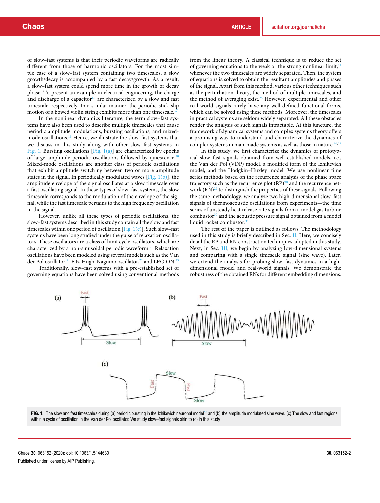of slow–fast systems is that their periodic waveforms are radically different from those of harmonic oscillators. For the most simple case of a slow–fast system containing two timescales, a slow growth/decay is accompanied by a fast decay/growth. As a result, a slow–fast system could spend more time in the growth or decay phase. To present an example in electrical engineering, the charge and discharge of a capacitor<sup>16</sup> are characterized by a slow and fast timescale, respectively. In a similar manner, the periodic stick-slip motion of a bowed violin string exhibits more than one timescale.<sup>17</sup>

In the nonlinear dynamics literature, the term slow–fast systems have also been used to describe multiple timescales that cause periodic amplitude modulations, bursting oscillations, and mixedmode oscillations.<sup>19</sup> Hence, we illustrate the slow–fast systems that we discuss in this study along with other slow–fast systems in Fig. 1. Bursting oscillations [Fig.  $1(a)$ ] are characterized by epochs of large amplitude periodic oscillations followed by quiescence.<sup>20</sup> Mixed-mode oscillations are another class of periodic oscillations that exhibit amplitude switching between two or more amplitude states in the signal. In periodically modulated waves  $[Fig, 1(b)]$ , the amplitude envelope of the signal oscillates at a slow timescale over a fast oscillating signal. In these types of slow–fast systems, the slow timescale corresponds to the modulation of the envelope of the signal, while the fast timescale pertains to the high frequency oscillation in the signal.

However, unlike all these types of periodic oscillations, the slow–fast systems described in this study contain all the slow and fast timescales within one period of oscillation [Fig.  $1(c)$ ]. Such slow–fast systems have been long studied under the guise of relaxation oscillators. These oscillators are a class of limit cycle oscillators, which are characterized by a non-sinusoidal periodic waveform.<sup>21</sup> Relaxation oscillations have been modeled using several models such as the Van der Pol oscillator,<sup>21</sup> Fitz-Hugh-Nagumo oscillator,<sup>22</sup> and LEGION.<sup>23</sup>

Traditionally, slow–fast systems with a pre-established set of governing equations have been solved using conventional methods

from the linear theory. A classical technique is to reduce the set of governing equations to the weak or the strong nonlinear limit,  $24$ whenever the two timescales are widely separated. Then, the system of equations is solved to obtain the resultant amplitudes and phases of the signal. Apart from this method, various other techniques such as the perturbation theory, the method of multiple timescales, and the method of averaging exist.<sup>25</sup> However, experimental and other real-world signals rarely have any well-defined functional forms, which can be solved using these methods. Moreover, the timescales in practical systems are seldom widely separated. All these obstacles render the analysis of such signals intractable. At this juncture, the framework of dynamical systems and complex systems theory offers a promising way to understand and characterize the dynamics of complex systems in man-made systems as well as those in nature.<sup>26,2</sup>

In this study, we first characterize the dynamics of prototypical slow–fast signals obtained from well-established models, i.e., the Van der Pol (VDP) model, a modified form of the Izhikevich model, and the Hodgkin–Huxley model. We use nonlinear time series methods based on the recurrence analysis of the phase space trajectory such as the recurrence plot  $(RP)^{28}$  and the recurrence network  $(RN)^{29}$  to distinguish the properties of these signals. Following the same methodology, we analyze two high-dimensional slow–fast signals of thermoacoustic oscillations from experiments—the time series of unsteady heat release rate signals from a model gas turbine combustor $30$  and the acoustic pressure signal obtained from a model liquid rocket combustor.<sup>31</sup>

The rest of the paper is outlined as follows. The methodology used in this study is briefly described in Sec. II. Here, we concisely detail the RP and RN construction techniques adopted in this study. Next, in Sec. III, we begin by analyzing low-dimensional systems and comparing with a single timescale signal (sine wave). Later, we extend the analysis for probing slow–fast dynamics in a highdimensional model and real-world signals. We demonstrate the robustness of the obtained RNs for different embedding dimensions.



FIG. 1. The slow and fast timescales during (a) periodic bursting in the Izhikevich neuronal model<sup>18</sup> and (b) the amplitude modulated sine wave. (c) The slow and fast regions within a cycle of oscillation in the Van der Pol oscillator. We study slow–fast signals akin to (c) in this study.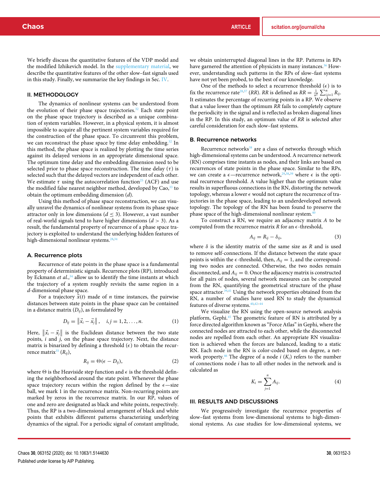We briefly discuss the quantitative features of the VDP model and the modified Izhikevich model. In the supplementary material, we describe the quantitative features of the other slow–fast signals used in this study. Finally, we summarize the key findings in Sec. IV.

#### II. METHODOLOGY

The dynamics of nonlinear systems can be understood from the evolution of their phase space trajectories.<sup>32</sup> Each state point on the phase space trajectory is described as a unique combination of system variables. However, in a physical system, it is almost impossible to acquire all the pertinent system variables required for the construction of the phase space. To circumvent this problem, we can reconstruct the phase space by time delay embedding.<sup>32</sup> In this method, the phase space is realized by plotting the time series against its delayed versions in an appropriate dimensional space. The optimum time delay and the embedding dimension need to be selected prior to phase space reconstruction. The time delay  $(\tau)$  is selected such that the delayed vectors are independent of each other. We estimate  $\tau$  using the autocorrelation function<sup>25</sup> (ACF) and use the modified false nearest neighbor method, developed by Cao,<sup>33</sup> to obtain the optimum embedding dimension (*d*).

Using this method of phase space reconstruction, we can visually unravel the dynamics of nonlinear systems from its phase space attractor only in low dimensions ( $d \leq 3$ ). However, a vast number of real-world signals tend to have higher dimensions  $(d > 3)$ . As a result, the fundamental property of recurrence of a phase space trajectory is exploited to understand the underlying hidden features of high-dimensional nonlinear systems.<sup>28,34</sup>

#### A. Recurrence plots

Recurrence of state points in the phase space is a fundamental property of deterministic signals. Recurrence plots (RP), introduced by Eckmann *et al.*, <sup>34</sup> allow us to identify the time instants at which the trajectory of a system roughly revisits the same region in a *d*-dimensional phase space.

For a trajectory  $\vec{x}(t)$  made of *n* time instances, the pairwise distances between state points in the phase space can be contained in a distance matrix  $(D_{ii})$ , as formulated by

$$
D_{ij} = \left\| \vec{x}_i - \vec{x}_j \right\|, \quad i, j = 1, 2, \dots, n. \tag{1}
$$

Here,  $\|\vec{x}_i - \vec{x}_j\|$  is the Euclidean distance between the two state points, *i* and *j*, on the phase space trajectory. Next, the distance matrix is binarized by defining a threshold  $(\epsilon)$  to obtain the recurrence matrix<sup>35</sup> ( $R_{ij}$ ),

$$
R_{ij} = \Theta(\epsilon - D_{ij}),\tag{2}
$$

where  $\Theta$  is the Heaviside step function and  $\epsilon$  is the threshold defining the neighborhood around the state point. Whenever the phase space trajectory recurs within the region defined by the  $\epsilon$ —size ball, we mark 1 in the recurrence matrix. Non-recurring points are marked by zeros in the recurrence matrix. In our RP, values of one and zero are designated as black and white points, respectively. Thus, the RP is a two-dimensional arrangement of black and white points that exhibits different patterns characterizing underlying dynamics of the signal. For a periodic signal of constant amplitude,

we obtain uninterrupted diagonal lines in the RP. Patterns in RPs have garnered the attention of physicists in many instances.<sup>36</sup> However, understanding such patterns in the RPs of slow–fast systems have not yet been probed, to the best of our knowledge.

One of the methods to select a recurrence threshold  $(\epsilon)$  is to fix the recurrence rate<sup>28,37</sup> (*RR*). *RR* is defined as  $RR = \frac{1}{n^2} \sum_{i,j=1}^{n} R_{ij}$ . It estimates the percentage of recurring points in a RP. We observe that a value lower than the optimum *RR* fails to completely capture the periodicity in the signal and is reflected as broken diagonal lines in the RP. In this study, an optimum value of *RR* is selected after careful consideration for each slow–fast systems.

#### B. Recurrence networks

Recurrence networks<sup>38</sup> are a class of networks through which high-dimensional systems can be understood. A recurrence network (RN) comprises time instants as nodes, and their links are based on recurrences of state points in the phase space. Similar to the RPs, we can create a  $\epsilon$ —recurrence network,<sup>29,38,39</sup> where  $\epsilon$  is the optimal recurrence threshold. A value higher than the optimum value results in superfluous connections in the RN, distorting the network topology, whereas a lower  $\epsilon$  would not capture the recurrence of trajectories in the phase space, leading to an underdeveloped network topology. The topology of the RN has been found to preserve the phase space of the high-dimensional nonlinear system.<sup>4</sup>

To construct a RN, we require an adjacency matrix *A* to be computed from the recurrence matrix  $R$  for an  $\epsilon$ -threshold,

$$
A_{ij} = R_{ij} - \delta_{ij}, \tag{3}
$$

where  $\delta$  is the identity matrix of the same size as  $R$  and is used to remove self-connections. If the distance between the state space points is within the  $\epsilon$ -threshold, then,  $A_{ij} = 1$ , and the corresponding two nodes are connected. Otherwise, the two nodes remain disconnected, and  $A_{ij} = 0$ . Once the adjacency matrix is constructed for all pairs of nodes, several network measures can be computed from the RN, quantifying the geometrical structure of the phase space attractor.<sup>39,41</sup> Using the network properties obtained from the RN, a number of studies have used RN to study the dynamical features of diverse systems.40,42–44

We visualize the RN using the open-source network analysis platform, Gephi.<sup>45</sup> The geometric feature of RN is attributed by a force directed algorithm known as "Force Atlas" in Gephi, where the connected nodes are attracted to each other, while the disconnected nodes are repelled from each other. An appropriate RN visualization is achieved when the forces are balanced, leading to a static RN. Each node in the RN is color-coded based on degree, a network property.<sup>46</sup> The degree of a node  $i(K_i)$  refers to the number of connections node *i* has to all other nodes in the network and is calculated as

$$
K_i = \sum_{j=1}^n A_{ij}.\tag{4}
$$

#### III. RESULTS AND DISCUSSIONS

We progressively investigate the recurrence properties of slow–fast systems from low-dimensional systems to high-dimensional systems. As case studies for low-dimensional systems, we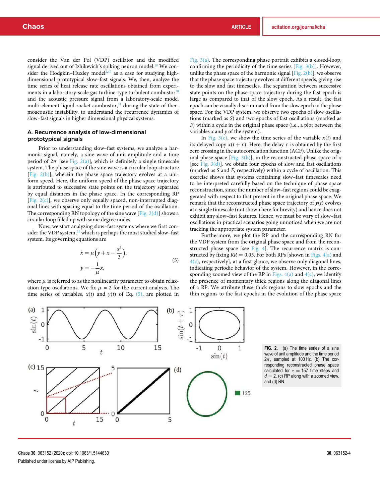consider the Van der Pol (VDP) oscillator and the modified signal derived out of Izhikevich's spiking neuron model.<sup>18</sup> We consider the Hodgkin–Huxley model<sup>2,47</sup> as a case for studying highdimensional prototypical slow–fast signals. We, then, analyze the time series of heat release rate oscillations obtained from experiments in a laboratory-scale gas turbine-type turbulent combustor $30$ and the acoustic pressure signal from a laboratory-scale model multi-element liquid rocket combustor, $31$  during the state of thermoacoustic instability, to understand the recurrence dynamics of slow–fast signals in higher dimensional physical systems.

# A. Recurrence analysis of low-dimensional prototypical signals

Prior to understanding slow–fast systems, we analyze a harmonic signal, namely, a sine wave of unit amplitude and a time period of  $2\pi$  [see Fig. 2(a)], which is definitely a single timescale system. The phase space of the sine wave is a circular loop structure [Fig. 2(b)], wherein the phase space trajectory evolves at a uniform speed. Here, the uniform speed of the phase space trajectory is attributed to successive state points on the trajectory separated by equal distances in the phase space. In the corresponding RP [Fig.  $2(c)$ ], we observe only equally spaced, non-interrupted diagonal lines with spacing equal to the time period of the oscillation. The corresponding RN topology of the sine wave [Fig.  $2(d)$ ] shows a circular loop filled up with same degree nodes.

Now, we start analyzing slow–fast systems where we first consider the VDP system, $^{21}$  which is perhaps the most studied slow–fast system. Its governing equations are

$$
\begin{aligned}\n\dot{x} &= \mu \left( y + x - \frac{x^3}{3} \right), \\
\dot{y} &= -\frac{1}{\mu} x,\n\end{aligned} \tag{5}
$$

where  $\mu$  is referred to as the nonlinearity parameter to obtain relaxation type oscillations. We fix  $\mu = 2$  for the current analysis. The time series of variables,  $x(t)$  and  $y(t)$  of Eq. (5), are plotted in

Fig. 3(a). The corresponding phase portrait exhibits a closed-loop, confirming the periodicity of the time series  $[Fig. 3(b)]$ . However, unlike the phase space of the harmonic signal [Fig.  $2(b)$ ], we observe that the phase space trajectory evolves at different speeds, giving rise to the slow and fast timescales. The separation between successive state points on the phase space trajectory during the fast epoch is large as compared to that of the slow epoch. As a result, the fast epoch can be visually discriminated from the slow epoch in the phase space. For the VDP system, we observe two epochs of slow oscillations (marked as *S*) and two epochs of fast oscillations (marked as *F*) within a cycle in the original phase space (i.e., a plot between the variables *x* and *y* of the system).

In Fig.  $3(c)$ , we show the time series of the variable  $x(t)$  and its delayed copy  $x(t + \tau)$ . Here, the delay  $\tau$  is obtained by the first zero crossing in the autocorrelation function (ACF). Unlike the original phase space  $[Fig, 3(b)]$ , in the reconstructed phase space of *x* [see Fig.  $3(d)$ ], we obtain four epochs of slow and fast oscillations (marked as *S* and *F*, respectively) within a cycle of oscillation. This exercise shows that systems containing slow–fast timescales need to be interpreted carefully based on the technique of phase space reconstruction, since the number of slow–fast regions could be exaggerated with respect to that present in the original phase space. We remark that the reconstructed phase space trajectory of  $y(t)$  evolves at a single timescale (not shown here for brevity) and hence does not exhibit any slow–fast features. Hence, we must be wary of slow–fast oscillations in practical scenarios going unnoticed when we are not tracking the appropriate system parameter.

Furthermore, we plot the RP and the corresponding RN for the VDP system from the original phase space and from the reconstructed phase space [see Fig. 4]. The recurrence matrix is constructed by fixing  $RR = 0.05$ . For both RPs [shown in Figs. 4(a) and  $4(c)$ , respectively], at a first glance, we observe only diagonal lines, indicating periodic behavior of the system. However, in the corresponding zoomed view of the RP in Figs.  $4(a)$  and  $4(c)$ , we identify the presence of momentary thick regions along the diagonal lines of a RP. We attribute these thick regions to slow epochs and the thin regions to the fast epochs in the evolution of the phase space



**FIG. 2.** (a) The time series of a sine wave of unit amplitude and the time period  $2\pi$ , sampled at 100 Hz. (b) The corresponding reconstructed phase space calculated for  $\tau = 157$  time steps and  $d = 2$ , (c) RP along with a zoomed view, and (d) RN.

Chaos **30**, 063152 (2020); doi: 10.1063/1.5144630 **30**, 063152-4 Published under license by AIP Publishing.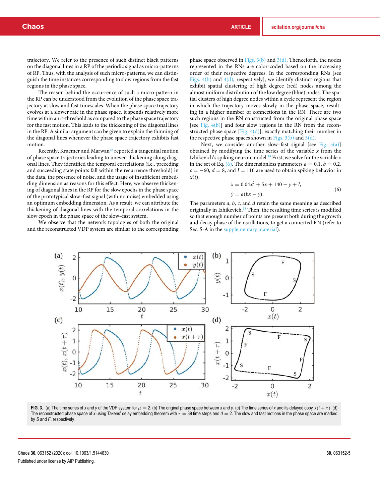trajectory. We refer to the presence of such distinct black patterns on the diagonal lines in a RP of the periodic signal as micro-patterns of RP. Thus, with the analysis of such micro-patterns, we can distinguish the time instances corresponding to slow regions from the fast regions in the phase space.

The reason behind the occurrence of such a micro-pattern in the RP can be understood from the evolution of the phase space trajectory at slow and fast timescales. When the phase space trajectory evolves at a slower rate in the phase space, it spends relatively more time within an  $\epsilon$ -threshold as compared to the phase space trajectory for the fast motion. This leads to the thickening of the diagonal lines in the RP. A similar argument can be given to explain the thinning of the diagonal lines whenever the phase space trajectory exhibits fast motion.

Recently, Kraemer and Marwan<sup>48</sup> reported a tangential motion of phase space trajectories leading to uneven thickening along diagonal lines. They identified the temporal correlations (i.e., preceding and succeeding state points fall within the recurrence threshold) in the data, the presence of noise, and the usage of insufficient embedding dimension as reasons for this effect. Here, we observe thickening of diagonal lines in the RP for the slow epochs in the phase space of the prototypical slow–fast signal (with no noise) embedded using an optimum embedding dimension. As a result, we can attribute the thickening of diagonal lines with the temporal correlations in the slow epoch in the phase space of the slow–fast system.

We observe that the network topologies of both the original and the reconstructed VDP system are similar to the corresponding

phase space observed in Figs.  $3(b)$  and  $3(d)$ . Thenceforth, the nodes represented in the RNs are color-coded based on the increasing order of their respective degrees. In the corresponding RNs [see Figs.  $4(b)$  and  $4(d)$ , respectively], we identify distinct regions that exhibit spatial clustering of high degree (red) nodes among the almost uniform distribution of the low degree (blue) nodes. The spatial clusters of high degree nodes within a cycle represent the region in which the trajectory moves slowly in the phase space, resulting in a higher number of connections in the RN. There are two such regions in the RN constructed from the original phase space [see Fig.  $4(b)$ ] and four slow regions in the RN from the reconstructed phase space  $[Fig. 4(d)]$ , exactly matching their number in the respective phase spaces shown in Figs.  $3(b)$  and  $3(d)$ .

Next, we consider another slow–fast signal [see Fig.  $5(a)$ ] obtained by modifying the time series of the variable *x* from the Izhikevich's spiking neuron model.<sup>18</sup> First, we solve for the variable  $x$ in the set of Eq. (6). The dimensionless parameters  $a = 0.1$ ,  $b = 0.2$ ,  $c = -60$ ,  $d = 8$ , and  $I = 110$  are used to obtain spiking behavior in *x*(*t*),

$$
\begin{aligned} \dot{x} &= 0.04x^2 + 5x + 140 - y + I, \\ \dot{y} &= a(bx - y). \end{aligned} \tag{6}
$$

The parameters *a*, *b*, *c*, and *d* retain the same meaning as described originally in Izhikevich.<sup>18</sup> Then, the resulting time series is modified so that enough number of points are present both during the growth and decay phase of the oscillations, to get a connected RN (refer to Sec. S-A in the supplementary material).



FIG. 3. (a) The time series of x and y of the VDP system for  $\mu = 2$ . (b) The original phase space between x and y. (c) The time series of x and its delayed copy,  $x(t + \tau)$ . (d) The reconstructed phase space of x using Takens' delay embedding theorem with  $\tau = 39$  time steps and  $d = 2$ . The slow and fast motions in the phase space are marked by *S* and *F*, respectively.

Chaos **30**, 063152 (2020); doi: 10.1063/1.5144630 **30**, 063152-5 Published under license by AIP Publishing.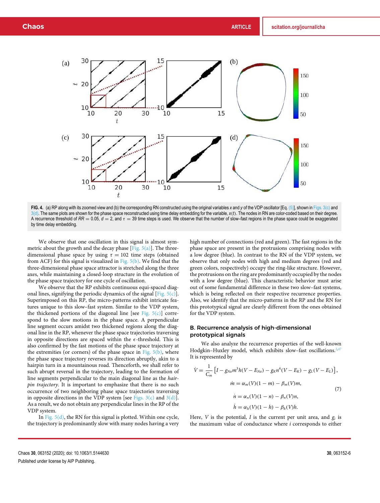

**FIG. 4.** (a) RP along with its zoomed view and (b) the corresponding RN constructed using the original variables *x* and *y* of the VDP oscillator [Eq. (5)], shown in Figs. 3(c) and 3(d). The same plots are shown for the phase space reconstructed using time delay embedding for the variable, *x*(*t*). The nodes in RN are color-coded based on their degree. A recurrence threshold of  $RR = 0.05$ ,  $d = 2$ , and  $\tau = 39$  time steps is used. We observe that the number of slow–fast regions in the phase space could be exaggerated by time delay embedding.

We observe that one oscillation in this signal is almost symmetric about the growth and the decay phase  $[Fig. 5(a)]$ . The threedimensional phase space by using  $\tau = 102$  time steps (obtained from ACF) for this signal is visualized in Fig. 5(b). We find that the three-dimensional phase space attractor is stretched along the three axes, while maintaining a closed-loop structure in the evolution of the phase space trajectory for one cycle of oscillation.

We observe that the RP exhibits continuous equi-spaced diagonal lines, signifying the periodic dynamics of the signal [Fig.  $5(c)$ ]. Superimposed on this RP, the micro-patterns exhibit intricate features unique to this slow–fast system. Similar to the VDP system, the thickened portions of the diagonal line [see Fig.  $5(c)$ ] correspond to the slow motions in the phase space. A perpendicular line segment occurs amidst two thickened regions along the diagonal line in the RP, whenever the phase space trajectories traversing in opposite directions are spaced within the  $\epsilon$ -threshold. This is also confirmed by the fast motions of the phase space trajectory at the extremities (or corners) of the phase space in Fig.  $5(b)$ , where the phase space trajectory reverses its direction abruptly, akin to a hairpin turn in a mountainous road. Thenceforth, we shall refer to such abrupt reversal in the trajectory, leading to the formation of line segments perpendicular to the main diagonal line as the *hairpin trajectory*. It is important to emphasize that there is no such occurrence of two neighboring phase space trajectories traversing in opposite directions in the VDP system [see Figs.  $3(c)$  and  $3(d)$ ]. As a result, we do not obtain any perpendicular lines in the RP of the VDP system.

In Fig.  $5(d)$ , the RN for this signal is plotted. Within one cycle, the trajectory is predominantly slow with many nodes having a very high number of connections (red and green). The fast regions in the phase space are present in the protrusions comprising nodes with a low degree (blue). In contrast to the RN of the VDP system, we observe that only nodes with high and medium degrees (red and green colors, respectively) occupy the ring-like structure. However, the protrusions on the ring are predominantly occupied by the nodes with a low degree (blue). This characteristic behavior must arise out of some fundamental difference in these two slow–fast systems, which is being reflected on their respective recurrence properties. Also, we identify that the micro-patterns in the RP and the RN for this prototypical signal are clearly different from the ones obtained for the VDP system.

# B. Recurrence analysis of high-dimensional prototypical signals

We also analyze the recurrence properties of the well-known Hodgkin–Huxley model, which exhibits slow–fast oscillations. $247$ It is represented by

$$
\dot{V} = \frac{1}{C_m} \left[ I - g_{Na} m^3 h (V - E_{Na}) - g_K n^4 (V - E_K) - g_L (V - E_L) \right],
$$
  
\n
$$
\dot{m} = \alpha_m (V) (1 - m) - \beta_m (V) m,
$$
  
\n
$$
\dot{n} = \alpha_n (V) (1 - n) - \beta_n (V) n,
$$
  
\n
$$
\dot{h} = \alpha_h (V) (1 - h) - \beta_h (V) h.
$$
\n(7)

Here, *V* is the potential, *I* is the current per unit area, and *g<sup>i</sup>* is the maximum value of conductance where *i* corresponds to either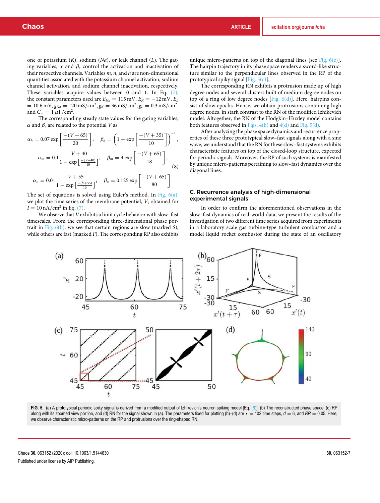one of potassium (*K*), sodium (*Na*), or leak channel (*L*). The gating variables,  $\alpha$  and  $\beta$ , control the activation and inactivation of their respective channels. Variables *m*, *n*, and *h* are non-dimensional quantities associated with the potassium channel activation, sodium channel activation, and sodium channel inactivation, respectively. These variables acquire values between 0 and 1. In Eq. (7), the constant parameters used are  $E_{Na} = 115$  mV,  $E_K = -12$  mV,  $E_L$  $= 10.6 \text{ mV}, g_{Na} = 120 \text{ mS/cm}^2, g_K = 36 \text{ mS/cm}^2, g_L = 0.3 \text{ mS/cm}^2,$ and  $C_m = 1 \mu \text{F/cm}^2$ .

The corresponding steady state values for the gating variables, α and β, are related to the potential *V* as

$$
\alpha_h = 0.07 \exp\left[\frac{-(V+65)}{20}\right], \quad \beta_h = \left(1 + \exp\left[\frac{-(V+35)}{10}\right]\right)^{-1},
$$

$$
\alpha_m = 0.1 \frac{V+40}{1 - \exp\left[\frac{-(V+40)}{10}\right]}, \quad \beta_m = 4 \exp\left[\frac{-(V+65)}{18}\right],
$$
(8)

$$
\alpha_n = 0.01 \frac{V + 55}{1 - \exp\left[\frac{-(V + 55)}{10}\right]}, \quad \beta_n = 0.125 \exp\left[\frac{-(V + 65)}{80}\right].
$$

The set of equations is solved using Euler's method. In Fig. 6(a), we plot the time series of the membrane potential, *V*, obtained for  $I = 10 \text{ nA/cm}^2$  in Eq. (7).

We observe that *V* exhibits a limit cycle behavior with slow–fast timescales. From the corresponding three-dimensional phase portrait in Fig. 6(b), we see that certain regions are slow (marked *S*), while others are fast (marked *F*). The corresponding RP also exhibits

unique micro-patterns on top of the diagonal lines [see Fig.  $6(c)$ ]. The hairpin trajectory in its phase space renders a sword-like structure similar to the perpendicular lines observed in the RP of the prototypical spiky signal [Fig.  $5(c)$ ].

The corresponding RN exhibits a protrusion made up of high degree nodes and several clusters built of medium degree nodes on top of a ring of low degree nodes  $[Fig. 6(d)]$ . Here, hairpins consist of slow epochs. Hence, we obtain protrusions containing high degree nodes, in stark contrast to the RN of the modified Izhikevich model. Altogether, the RN of the Hodgkin–Huxley model contains both features observed in Figs.  $4(b)$  and  $4(d)$  and Fig.  $5(d)$ .

After analyzing the phase space dynamics and recurrence properties of these three prototypical slow–fast signals along with a sine wave, we understand that the RN for these slow–fast systems exhibits characteristic features on top of the closed-loop structure, expected for periodic signals. Moreover, the RP of such systems is manifested by unique micro-patterns pertaining to slow–fast dynamics over the diagonal lines.

# C. Recurrence analysis of high-dimensional experimental signals

In order to confirm the aforementioned observations in the slow–fast dynamics of real-world data, we present the results of the investigation of two different time series acquired from experiments in a laboratory scale gas turbine-type turbulent combustor and a model liquid rocket combustor during the state of an oscillatory



FIG. 5. (a) A prototypical periodic spiky signal is derived from a modified output of Izhikevich's neuron spiking model [Eq. (6)]. (b) The reconstructed phase space, (c) RP along with its zoomed view portion, and (d) RN for the signal shown in (a). The parameters fixed for plotting (b)–(d) are τ = 102 time steps,  $d = 6$ , and RR = 0.05. Here, we observe characteristic micro-patterns on the RP and protrusions over the ring-shaped RN.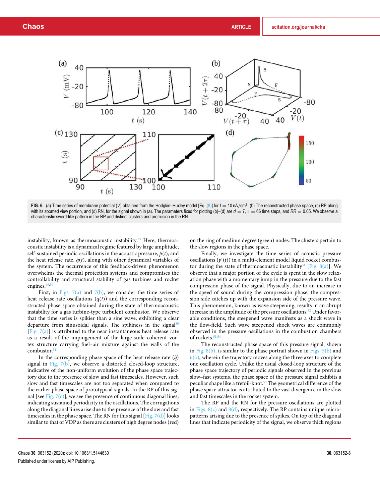

**FIG. 6.** (a) Time series of membrane potential (*V*) obtained from the Hodgkin–Huxley model [Eq. (8)] for *I* = 10 nA/cm<sup>2</sup> . (b) The reconstructed phase space, (c) RP along with its zoomed view portion, and (d) RN, for the signal shown in (a). The parameters fixed for plotting (b)–(d) are  $d = 7$ ,  $\tau = 66$  time steps, and  $RR = 0.05$ . We observe a characteristic sword-like pattern in the RP and distinct clusters and protrusion in the RN.

instability, known as thermoacoustic instability.<sup>49</sup> Here, thermoacoustic instability is a dynamical regime featured by large amplitude, self-sustained periodic oscillations in the acoustic pressure,  $p(t)$ , and the heat release rate,  $\dot{q}(t)$ , along with other dynamical variables of the system. The occurrence of this feedback-driven phenomenon overwhelms the thermal protection systems and compromises the controllability and structural stability of gas turbines and rocket engines.<sup>49,50</sup>

First, in Figs.  $7(a)$  and  $7(b)$ , we consider the time series of heat release rate oscillations  $(\dot{q}(t))$  and the corresponding reconstructed phase space obtained during the state of thermoacoustic instability for a gas turbine-type turbulent combustor. We observe that the time series is spikier than a sine wave, exhibiting a clear departure from sinusoidal signals. The spikiness in the signal<sup>30</sup> [Fig.  $7(a)$ ] is attributed to the near instantaneous heat release rate as a result of the impingement of the large-scale coherent vortex structure carrying fuel–air mixture against the walls of the combustor.<sup>51</sup>

In the corresponding phase space of the heat release rate  $(\dot{q})$ signal in Fig.  $7(b)$ , we observe a distorted closed-loop structure, indicative of the non-uniform evolution of the phase space trajectory due to the presence of slow and fast timescales. However, such slow and fast timescales are not too separated when compared to the earlier phase space of prototypical signals. In the RP of this signal [see Fig.  $7(c)$ ], we see the presence of continuous diagonal lines, indicating sustained periodicity in the oscillations. The corrugations along the diagonal lines arise due to the presence of the slow and fast timescales in the phase space. The RN for this signal [Fig.  $7(d)$ ] looks similar to that of VDP as there are clusters of high degree nodes (red)

on the ring of medium degree (green) nodes. The clusters pertain to the slow regions in the phase space.

Finally, we investigate the time series of acoustic pressure oscillations  $(p'(t))$  in a multi-element model liquid rocket combustor during the state of thermoacoustic instability<sup>31</sup> [Fig. 8(a)]. We observe that a major portion of the cycle is spent in the slow relaxation phase with a momentary jump in the pressure due to the fast compression phase of the signal. Physically, due to an increase in the speed of sound during the compression phase, the compression side catches up with the expansion side of the pressure wave. This phenomenon, known as wave steepening, results in an abrupt increase in the amplitude of the pressure oscillations.<sup>52</sup> Under favorable conditions, the steepened wave manifests as a shock wave in the flow-field. Such wave steepened shock waves are commonly observed in the pressure oscillations in the combustion chambers of rockets.53,54

The reconstructed phase space of this pressure signal, shown in Fig.  $8(b)$ , is similar to the phase portrait shown in Figs.  $5(b)$  and  $6(b)$ , wherein the trajectory moves along the three axes to complete one oscillation cycle. Unlike the usual closed-loop structure of the phase space trajectory of periodic signals observed in the previous slow–fast systems, the phase space of the pressure signal exhibits a peculiar shape like a trefoil-knot.<sup>55</sup> The geometrical difference of the phase space attractor is attributed to the vast divergence in the slow and fast timescales in the rocket system.

The RP and the RN for the pressure oscillations are plotted in Figs.  $8(c)$  and  $8(d)$ , respectively. The RP contains unique micropatterns arising due to the presence of spikes. On top of the diagonal lines that indicate periodicity of the signal, we observe thick regions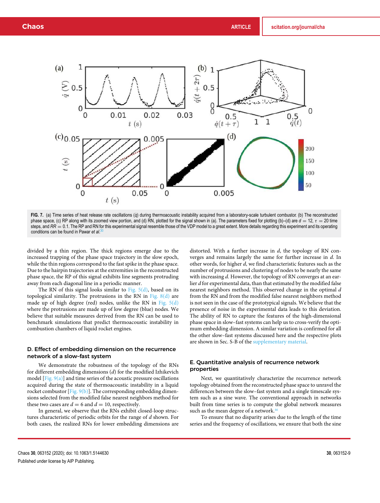



**FIG. 7.** (a) Time series of heat release rate oscillations (*q*˙) during thermoacoustic instability acquired from a laboratory-scale turbulent combustor. (b) The reconstructed phase space, (c) RP along with its zoomed view portion, and (d) RN, plotted for the signal shown in (a). The parameters fixed for plotting (b)–(d) are *d* = 12, τ = 20 time steps, and  $RR = 0.1$ . The RP and RN for this experimental signal resemble those of the VDP model to a great extent. More details regarding this experiment and its operating conditions can be found in Pawar *et al*. 30

divided by a thin region. The thick regions emerge due to the increased trapping of the phase space trajectory in the slow epoch, while the thin regions correspond to the fast spike in the phase space. Due to the hairpin trajectories at the extremities in the reconstructed phase space, the RP of this signal exhibits line segments protruding away from each diagonal line in a periodic manner.

The RN of this signal looks similar to Fig. 5(d), based on its topological similarity. The protrusions in the RN in Fig.  $8(d)$  are made up of high degree (red) nodes, unlike the RN in Fig. 5(d) where the protrusions are made up of low degree (blue) nodes. We believe that suitable measures derived from the RN can be used to benchmark simulations that predict thermoacoustic instability in combustion chambers of liquid rocket engines.

# D. Effect of embedding dimension on the recurrence network of a slow–fast system

We demonstrate the robustness of the topology of the RNs for different embedding dimensions (*d*) for the modified Izhikevich model [Fig. 9(a)] and time series of the acoustic pressure oscillations acquired during the state of thermoacoustic instability in a liquid rocket combustor [Fig.  $9(b)$ ]. The corresponding embedding dimensions selected from the modified false nearest neighbors method for these two cases are  $d = 6$  and  $d = 10$ , respectively.

In general, we observe that the RNs exhibit closed-loop structures characteristic of periodic orbits for the range of *d* shown. For both cases, the realized RNs for lower embedding dimensions are

distorted. With a further increase in *d*, the topology of RN converges and remains largely the same for further increase in *d*. In other words, for higher *d*, we find characteristic features such as the number of protrusions and clustering of nodes to be nearly the same with increasing *d*. However, the topology of RN converges at an earlier *d* for experimental data, than that estimated by the modified false nearest neighbors method. This observed change in the optimal *d* from the RN and from the modified false nearest neighbors method is not seen in the case of the prototypical signals. We believe that the presence of noise in the experimental data leads to this deviation. The ability of RN to capture the features of the high-dimensional phase space in slow–fast systems can help us to cross-verify the optimum embedding dimension. A similar variation is confirmed for all the other slow–fast systems discussed here and the respective plots are shown in Sec. S-B of the supplementary material.

# E. Quantitative analysis of recurrence network properties

Next, we quantitatively characterize the recurrence network topology obtained from the reconstructed phase space to unravel the differences between the slow–fast system and a single timescale system such as a sine wave. The conventional approach in networks built from time series is to compute the global network measures such as the mean degree of a network.<sup>46</sup>

To ensure that no disparity arises due to the length of the time series and the frequency of oscillations, we ensure that both the sine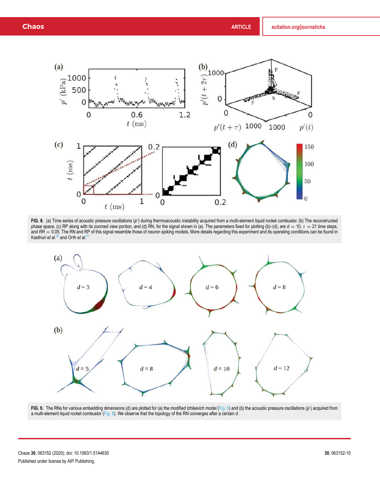

FIG. 8. (a) Time series of acoustic pressure oscillations (p') during thermoacoustic instability acquired from a multi-element liquid rocket combustor. (b) The reconstructed phase space, (c) RP along with its zoomed view portion, and (d) RN, for the signal shown in (a). The parameters fixed for plotting (b)–(d), are *d* = 10, τ = 21 time steps, and RR = 0.05. The RN and RP of this signal resemble those of neuron spiking models. More details regarding this experiment and its operating conditions can be found in Kasthuri *et al.*<sup>55</sup> and Orth *et al.*<sup>3</sup>



FIG. 9. The RNs for various embedding dimensions (d) are plotted for (a) the modified Izhikevich model (Fig. 5) and (b) the acoustic pressure oscillations (p') acquired from a multi-element liquid rocket combustor (Fig. 8). We observe that the topology of the RN converges after a certain *d*.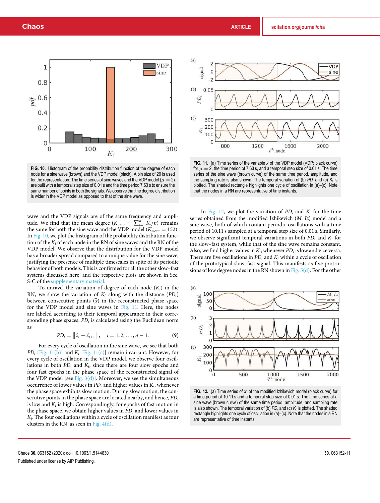

**FIG. 10.** Histogram of the probability distribution function of the degree of each node for a sine wave (brown) and the VDP model (black). A bin size of 20 is used for the representation. The time series of sine waves and the VDP model ( $\mu = 2$ ) are built with a temporal step size of 0.01 s and the time period 7.63 s to ensure the same number of points in both the signals. We observe that the degree distribution is wider in the VDP model as opposed to that of the sine wave.

wave and the VDP signals are of the same frequency and amplitude. We find that the mean degree  $(K_{mean} = \sum_{i=1}^{n} K_i/n)$  remains the same for both the sine wave and the VDP model ( $K_{mean} = 152$ ). In Fig. 10, we plot the histogram of the probability distribution function of the *K<sup>i</sup>* of each node in the RN of sine waves and the RN of the VDP model. We observe that the distribution for the VDP model has a broader spread compared to a unique value for the sine wave, justifying the presence of multiple timescales in spite of its periodic behavior of both models. This is confirmed for all the other slow–fast systems discussed here, and the respective plots are shown in Sec. S-C of the supplementary material.

To unravel the variation of degree of each node  $(K_i)$  in the RN, we show the variation of  $K_i$  along with the distance  $(PD_i)$ between consecutive points  $(\vec{x})$  in the reconstructed phase space for the VDP model and sine waves in Fig. 11. Here, the nodes are labeled according to their temporal appearance in their corresponding phase spaces. *PD<sup>i</sup>* is calculated using the Euclidean norm as

$$
PD_i = \left\| \vec{x}_i - \vec{x}_{i+1} \right\|, \quad i = 1, 2, \dots, n-1. \tag{9}
$$

For every cycle of oscillation in the sine wave, we see that both *PD<sub>i</sub>* [Fig. 11(b)] and  $K_i$  [Fig. 11(c)] remain invariant. However, for every cycle of oscillation in the VDP model, we observe four oscillations in both *PD<sup>i</sup>* and *K<sup>i</sup>* , since there are four slow epochs and four fast epochs in the phase space of the reconstructed signal of the VDP model [see Fig.  $3(d)$ ]. Moreover, we see the simultaneous occurrence of lower values in *PD<sup>i</sup>* and higher values in *K<sup>i</sup>* , whenever the phase space exhibits slow motion. During slow motion, the consecutive points in the phase space are located nearby, and hence, *PD<sup>i</sup>* is low and  $K_i$  is high. Correspondingly, for epochs of fast motion in the phase space, we obtain higher values in *PD<sup>i</sup>* and lower values in *Ki* . The four oscillations within a cycle of oscillation manifest as four clusters in the RN, as seen in Fig.  $4(d)$ .



**FIG. 11.** (a) Time series of the variable *x* of the VDP model (VDP: black curve) for  $\mu = 2$ , the time period of 7.63 s, and a temporal step size of 0.01 s. The time series of the sine wave (brown curve) of the same time period, amplitude, and the sampling rate is also shown. The temporal variation of (b) *PD<sup>i</sup>* and (c) *K<sup>i</sup>* is plotted. The shaded rectangle highlights one cycle of oscillation in (a)–(c). Note that the nodes in a RN are representative of time instants.

In Fig. 12, we plot the variation of *PD<sup>i</sup>* and *K<sup>i</sup>* for the time series obtained from the modified Izhikevich (*M*. *Iz*) model and a sine wave, both of which contain periodic oscillations with a time period of 10.11 s sampled at a temporal step size of 0.01 s. Similarly, we observe significant temporal variations in both *PD<sup>i</sup>* and *K<sup>i</sup>* for the slow–fast system, while that of the sine wave remains constant. Also, we find higher values in  $K_i$ , whenever  $PD_i$  is low and vice versa. There are five oscillations in  $PD_i$  and  $K_i$  within a cycle of oscillation of the prototypical slow–fast signal. This manifests as five protrusions of low degree nodes in the RN shown in Fig.  $5(d)$ . For the other



FIG. 12. (a) Time series of x' of the modified Izhikevich model (black curve) for a time period of 10.11 s and a temporal step size of 0.01 s. The time series of a sine wave (brown curve) of the same time period, amplitude, and sampling rate is also shown. The temporal variation of (b) *PD<sup>i</sup>* and (c) *K<sup>i</sup>* is plotted. The shaded rectangle highlights one cycle of oscillation in (a)–(c). Note that the nodes in a RN are representative of time instants.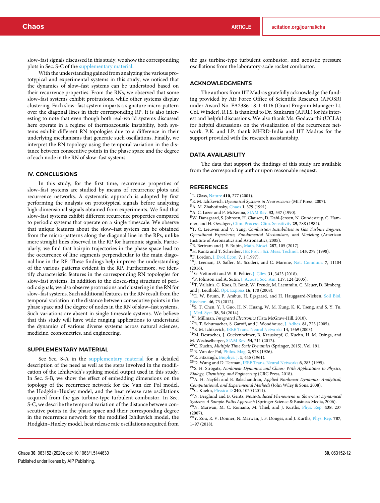slow–fast signals discussed in this study, we show the corresponding plots in Sec. S-C of the supplementary material.

With the understanding gained from analyzing the various prototypical and experimental systems in this study, we noticed that the dynamics of slow–fast systems can be understood based on their recurrence properties. From the RNs, we observed that some slow–fast systems exhibit protrusions, while other systems display clustering. Each slow–fast system imparts a signature micro-pattern over the diagonal lines in their corresponding RP. It is also interesting to note that even though both real-world systems discussed here operate in a regime of thermoacoustic instability, both systems exhibit different RN topologies due to a difference in their underlying mechanisms that generate such oscillations. Finally, we interpret the RN topology using the temporal variation in the distance between consecutive points in the phase space and the degree of each node in the RN of slow–fast systems.

# IV. CONCLUSIONS

In this study, for the first time, recurrence properties of slow–fast systems are studied by means of recurrence plots and recurrence networks. A systematic approach is adopted by first performing the analysis on prototypical signals before analyzing high-dimensional signals obtained from experiments. We find that slow–fast systems exhibit different recurrence properties compared to periodic systems that operate on a single timescale. We observe that unique features about the slow–fast system can be obtained from the micro-patterns along the diagonal line in the RPs, unlike mere straight lines observed in the RP for harmonic signals. Particularly, we find that hairpin trajectories in the phase space lead to the occurrence of line segments perpendicular to the main diagonal line in the RP. These findings help improve the understanding of the various patterns evident in the RP. Furthermore, we identify characteristic features in the corresponding RN topologies for slow–fast systems. In addition to the closed-ring structure of periodic signals, we also observe protrusions and clustering in the RN for slow–fast systems. Such additional features in the RN result from the temporal variation in the distance between consecutive points in the phase space and the degree of nodes in the RN of slow–fast systems. Such variations are absent in single timescale systems. We believe that this study will have wide ranging applications to understand the dynamics of various diverse systems across natural sciences, medicine, econometrics, and engineering.

#### SUPPLEMENTARY MATERIAL

See Sec. S-A in the supplementary material for a detailed description of the need as well as the steps involved in the modification of the Izhikevich's spiking model output used in this study. In Sec. S-B, we show the effect of embedding dimensions on the topology of the recurrence network for the Van der Pol model, the Hodgkin–Huxley model, and the heat release rate oscillations acquired from the gas turbine-type turbulent combustor. In Sec. S-C, we describe the temporal variation of the distance between consecutive points in the phase space and their corresponding degree in the recurrence network for the modified Izhikevich model, the Hodgkin–Huxley model, heat release rate oscillations acquired from

the gas turbine-type turbulent combustor, and acoustic pressure oscillations from the laboratory-scale rocket combustor.

### ACKNOWLEDGMENTS

The authors from IIT Madras gratefully acknowledge the funding provided by Air Force Office of Scientific Research (AFOSR) under Award No. FA2386-18-1-4116 (Grant Program Manager: Lt. Col. Winder). R.I.S. is thankful to Dr. Sankaran (AFRL) for his interest and helpful discussions. We also thank Ms. Godavarthi (UCLA) for helpful discussions on the visualization of the recurrence network. P.K. and I.P. thank MHRD-India and IIT Madras for the support provided with the research assistantship.

## DATA AVAILABILITY

The data that support the findings of this study are available from the corresponding author upon reasonable request.

#### **REFERENCES**

- <sup>1</sup>L. Glass, Nature **410**, 277 (2001).
- <sup>2</sup>E. M. Izhikevich, *Dynamical Systems in Neuroscience* (MIT Press, 2007).
- <sup>3</sup>A. M. Zhabotinsky, Chaos **1**, 379 (1991).
- <sup>4</sup>A. C. Lazer and P. McKenna, SIAM Rev. **32**, 537 (1990).

<sup>5</sup>W. Dansgaard, S. Johnsen, H. Clausen, D. Dahl-Jensen, N. Gundestrup, C. Ham-

mer, and H. Oeschger, Clim. Process. Clim. Sensitivity **29**, 288 (1984). <sup>6</sup>T. C. Lieuwen and V. Yang, *Combustion Instabilities in Gas Turbine Engines: Operational Experience, Fundamental Mechanisms, and Modeling* (American Institute of Aeronautics and Astronautics, 2005).

<sup>7</sup>R. Bertram and J. E. Rubin, Math. Biosci. **287**, 105 (2017).

<sup>8</sup>H. Kantz and T. Schreiber, IEE Proc.: Sci. Meas. Technol. **145**, 279 (1998).

<sup>9</sup>F. Lordon, J. Evol. Econ. **7**, 1 (1997).

- <sup>10</sup>J. Leeman, D. Saffer, M. Scuderi, and C. Marone, Nat. Commun. **7**, 11104 (2016).
- <sup>11</sup>G. Vettoretti and W. R. Peltier, J. Clim. **31**, 3423 (2018).
- <sup>12</sup>P. Johnson and A. Sutin, J. Acoust. Soc. Am. **117**, 124 (2005).
- <sup>13</sup>T. Vallaitis, C. Koos, R. Bonk, W. Freude, M. Laemmlin, C. Meuer, D. Bimberg, and J. Leuthold, Opt. Express **16**, 170 (2008).

<sup>14</sup>E. W. Bruun, P. Ambus, H. Egsgaard, and H. Hauggaard-Nielsen, Soil Biol. Biochem. **46**, 73 (2012).

<sup>15</sup>S. T. Chen, Y. J. Guo, H. N. Huang, W. M. Kung, K. K. Tseng, and S. Y. Tu, J. Med. Syst. **38**, 54 (2014).

- <sup>16</sup>J. Millman, *Integrated Electronics* (Tata McGraw-Hill, 2010).
- <sup>17</sup>R. T. Schumacher, S. Garoff, and J. Woodhouse, J. Adhes. **81**, 723 (2005).
- <sup>18</sup>E. M. Izhikevich, IEEE Trans. Neural Networks **14**, 1569 (2003).

<sup>19</sup>M. Desroches, J. Guckenheimer, B. Krauskopf, C. Kuehn, H. M. Osinga, and M. Wechselberger, SIAM Rev. **54**, 211 (2012).

- <sup>20</sup>C. Kuehn, *Multiple Time Scale Dynamics* (Springer, 2015), Vol. 191.
- <sup>21</sup>B. Van der Pol, Philos. Mag. **2**, 978 (1926).
- <sup>22</sup>R. FitzHugh, Biophys. J. **1**, 445 (1961).
- <sup>23</sup>D. Wang and D. Terman, IEEE Trans. Neural Networks **6**, 283 (1995).

<sup>24</sup>S. H. Strogatz, *Nonlinear Dynamics and Chaos: With Applications to Physics, Biology, Chemistry, and Engineering* (CRC Press, 2018).

<sup>25</sup>A. H. Nayfeh and B. Balachandran, *Applied Nonlinear Dynamics: Analytical, Computational, and Experimental Methods* (John Wiley & Sons, 2008). <sup>26</sup>C. Kuehn, Physica D **240**, 1020 (2011).

<sup>27</sup>N. Berglund and B. Gentz, *Noise-Induced Phenomena in Slow-Fast Dynamical Systems: A Sample-Paths Approach* (Springer Science & Business Media, 2006). <sup>28</sup>N. Marwan, M. C. Romano, M. Thiel, and J. Kurths, Phys. Rep. **438**, 237 (2007).

<sup>29</sup>Y. Zou, R. V. Donner, N. Marwan, J. F. Donges, and J. Kurths, Phys. Rep. **787**, 1–97 (2018).